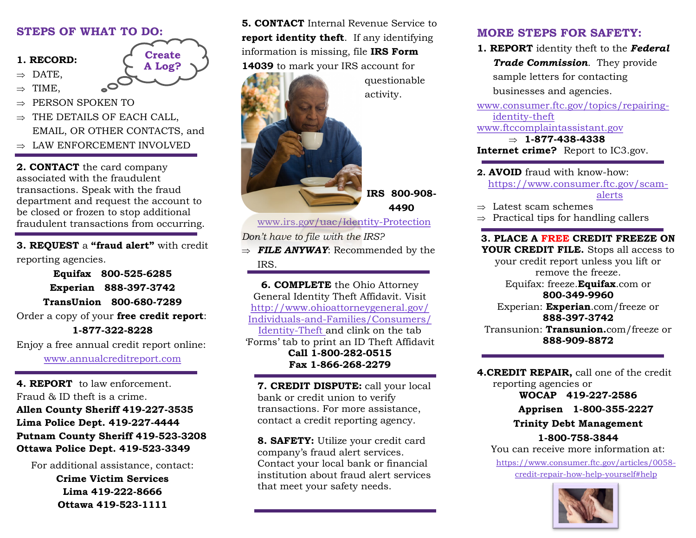### **STEPS OF WHAT TO DO:**

#### **1. RECORD:**

 $\Rightarrow$  DATE.

 $\Rightarrow$  TIME,

ł

- PERSON SPOKEN TO
- $\Rightarrow$  THE DETAILS OF EACH CALL. EMAIL, OR OTHER CONTACTS, and

**Create A Log?**

 $\Rightarrow$  LAW ENFORCEMENT INVOLVED

**2. CONTACT** the card company associated with the fraudulent transactions. Speak with the fraud department and request the account to be closed or frozen to stop additional fraudulent transactions from occurring. Ĩ

**3. REQUEST** a **"fraud alert"** with credit reporting agencies. ł

**Equifax 800-525-6285 Experian 888-397-3742 TransUnion 800-680-7289** Order a copy of your **free credit report**: **1-877-322-8228**

Enjoy a free annual credit report online: [www.annualcreditreport.com](http://www.annualcreditreport.com)

**4. REPORT** to law enforcement. Fraud & ID theft is a crime. **Allen County Sheriff 419-227-3535 Lima Police Dept. 419-227-4444 Putnam County Sheriff 419-523-3208 Ottawa Police Dept. 419-523-3349**

For additional assistance, contact: **Crime Victim Services Lima 419-222-8666 Ottawa 419-523-1111** 

**5. CONTACT** Internal Revenue Service to **report identity theft**. If any identifying information is missing, file **IRS Form 14039** to mark your IRS account for



ł

ł

*Don't have to file with the IRS?*  $\Rightarrow$  **FILE ANYWAY**: Recommended by the IRS.

**4490**

**6. COMPLETE** the Ohio Attorney General Identity Theft Affidavit. Visit http://www.ohioattorneygeneral.gov/ Individuals-and-Families/Consumers/ Identity-Theft and clink on the tab 'Forms' tab to print an ID Theft Affidavit **Call 1-800-282-0515 Fax 1-866-268-2279**

**7. CREDIT DISPUTE:** call your local bank or credit union to verify transactions. For more assistance, contact a credit reporting agency. Ĩ

**8. SAFETY:** Utilize your credit card company's fraud alert services. Contact your local bank or financial institution about fraud alert services that meet your safety needs.

## **MORE STEPS FOR SAFETY:**

**1. REPORT** identity theft to the *Federal Trade Commission*. They provide sample letters for contacting businesses and agencies.

[www.consumer.ftc.gov/topics/repairing](http://www.consumer.ftc.gov/topics/repairing-identity-theft)[identity-theft](http://www.consumer.ftc.gov/topics/repairing-identity-theft) [www.ftccomplaintassistant.gov](http://www.ftccomplaintassistant.gov)

 $\Rightarrow$  1-877-438-4338 **Internet crime?** Report to IC3.gov.

- **2. AVOID** fraud with know-how: [https://www.consumer.ftc.gov/scam](https://www.consumer.ftc.gov/scam-alerts)[alerts](https://www.consumer.ftc.gov/scam-alerts) ł
- $\rightarrow$  Latest scam schemes

Ĩ

 $\Rightarrow$  Practical tips for handling callers

**3. PLACE A FREE CREDIT FREEZE ON YOUR CREDIT FILE.** Stops all access to your credit report unless you lift or remove the freeze. Equifax: freeze.**Equifax**.com or **800-349-9960** Experian: **Experian**.com/freeze or **888-397-3742** Transunion: **Transunion.**com/freeze or **888-909-8872**

**4.CREDIT REPAIR,** call one of the credit reporting agencies or

> **WOCAP 419-227-2586 Apprisen 1-800-355-2227 Trinity Debt Management**

> > **1-800-758-3844**

You can receive more information at:

https://www.consumer.ftc.gov/articles/0058 credit-repair-how-help-yourself#help